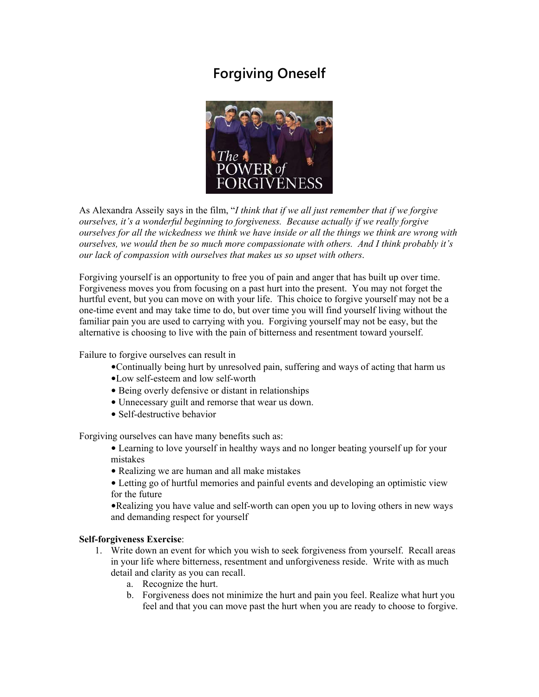# **Forgiving Oneself**



As Alexandra Asseily says in the film, "*I think that if we all just remember that if we forgive ourselves, it's a wonderful beginning to forgiveness. Because actually if we really forgive ourselves for all the wickedness we think we have inside or all the things we think are wrong with ourselves, we would then be so much more compassionate with others. And I think probably it's our lack of compassion with ourselves that makes us so upset with others*.

Forgiving yourself is an opportunity to free you of pain and anger that has built up over time. Forgiveness moves you from focusing on a past hurt into the present. You may not forget the hurtful event, but you can move on with your life. This choice to forgive yourself may not be a one-time event and may take time to do, but over time you will find yourself living without the familiar pain you are used to carrying with you. Forgiving yourself may not be easy, but the alternative is choosing to live with the pain of bitterness and resentment toward yourself.

Failure to forgive ourselves can result in

- •Continually being hurt by unresolved pain, suffering and ways of acting that harm us
- •Low self-esteem and low self-worth
- Being overly defensive or distant in relationships
- Unnecessary guilt and remorse that wear us down.
- Self-destructive behavior

Forgiving ourselves can have many benefits such as:

- Learning to love yourself in healthy ways and no longer beating yourself up for your mistakes
- Realizing we are human and all make mistakes
- Letting go of hurtful memories and painful events and developing an optimistic view for the future

•Realizing you have value and self-worth can open you up to loving others in new ways and demanding respect for yourself

#### **Self-forgiveness Exercise**:

- 1. Write down an event for which you wish to seek forgiveness from yourself. Recall areas in your life where bitterness, resentment and unforgiveness reside. Write with as much detail and clarity as you can recall.
	- a. Recognize the hurt.
	- b. Forgiveness does not minimize the hurt and pain you feel. Realize what hurt you feel and that you can move past the hurt when you are ready to choose to forgive.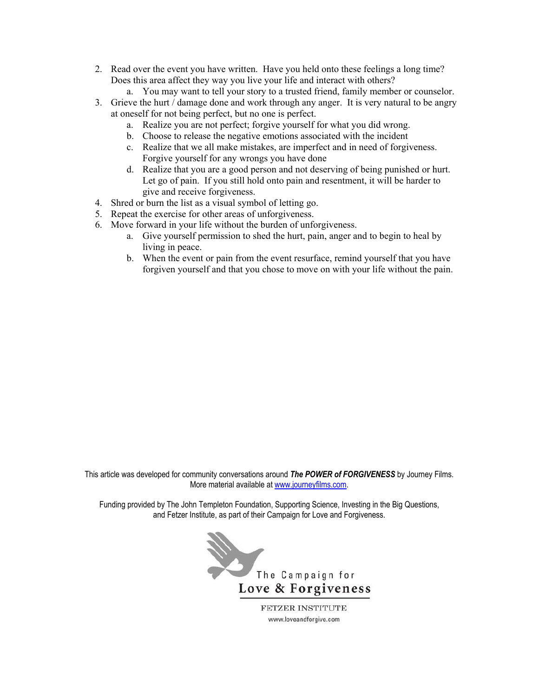- 2. Read over the event you have written. Have you held onto these feelings a long time? Does this area affect they way you live your life and interact with others?
	- a. You may want to tell your story to a trusted friend, family member or counselor.
- 3. Grieve the hurt / damage done and work through any anger. It is very natural to be angry at oneself for not being perfect, but no one is perfect.
	- a. Realize you are not perfect; forgive yourself for what you did wrong.
	- b. Choose to release the negative emotions associated with the incident
	- c. Realize that we all make mistakes, are imperfect and in need of forgiveness. Forgive yourself for any wrongs you have done
	- d. Realize that you are a good person and not deserving of being punished or hurt. Let go of pain. If you still hold onto pain and resentment, it will be harder to give and receive forgiveness.
- 4. Shred or burn the list as a visual symbol of letting go.
- 5. Repeat the exercise for other areas of unforgiveness.
- 6. Move forward in your life without the burden of unforgiveness.
	- a. Give yourself permission to shed the hurt, pain, anger and to begin to heal by living in peace.
	- b. When the event or pain from the event resurface, remind yourself that you have forgiven yourself and that you chose to move on with your life without the pain.

This article was developed for community conversations around *The POWER of FORGIVENESS* by Journey Films. More material available at [www.journeyfilms.com.](http://www.journeyfilms.com/)

Funding provided by The John Templeton Foundation, Supporting Science, Investing in the Big Questions, and Fetzer Institute, as part of their Campaign for Love and Forgiveness.



FETZER INSTITUTE www.loveandforgive.com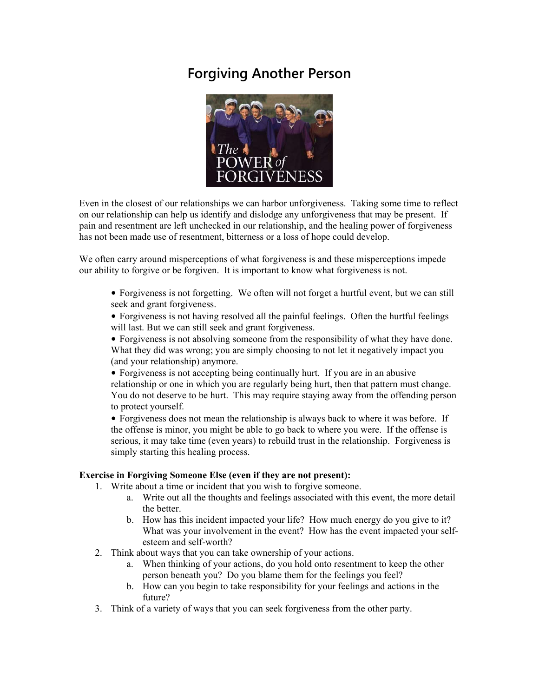### **Forgiving Another Person**



Even in the closest of our relationships we can harbor unforgiveness. Taking some time to reflect on our relationship can help us identify and dislodge any unforgiveness that may be present. If pain and resentment are left unchecked in our relationship, and the healing power of forgiveness has not been made use of resentment, bitterness or a loss of hope could develop.

We often carry around misperceptions of what forgiveness is and these misperceptions impede our ability to forgive or be forgiven. It is important to know what forgiveness is not.

• Forgiveness is not forgetting. We often will not forget a hurtful event, but we can still seek and grant forgiveness.

• Forgiveness is not having resolved all the painful feelings. Often the hurtful feelings will last. But we can still seek and grant forgiveness.

• Forgiveness is not absolving someone from the responsibility of what they have done. What they did was wrong; you are simply choosing to not let it negatively impact you (and your relationship) anymore.

• Forgiveness is not accepting being continually hurt. If you are in an abusive relationship or one in which you are regularly being hurt, then that pattern must change. You do not deserve to be hurt. This may require staying away from the offending person to protect yourself.

• Forgiveness does not mean the relationship is always back to where it was before. If the offense is minor, you might be able to go back to where you were. If the offense is serious, it may take time (even years) to rebuild trust in the relationship. Forgiveness is simply starting this healing process.

#### **Exercise in Forgiving Someone Else (even if they are not present):**

- 1. Write about a time or incident that you wish to forgive someone.
	- a. Write out all the thoughts and feelings associated with this event, the more detail the better.
	- b. How has this incident impacted your life? How much energy do you give to it? What was your involvement in the event? How has the event impacted your selfesteem and self-worth?
- 2. Think about ways that you can take ownership of your actions.
	- a. When thinking of your actions, do you hold onto resentment to keep the other person beneath you? Do you blame them for the feelings you feel?
	- b. How can you begin to take responsibility for your feelings and actions in the future?
- 3. Think of a variety of ways that you can seek forgiveness from the other party.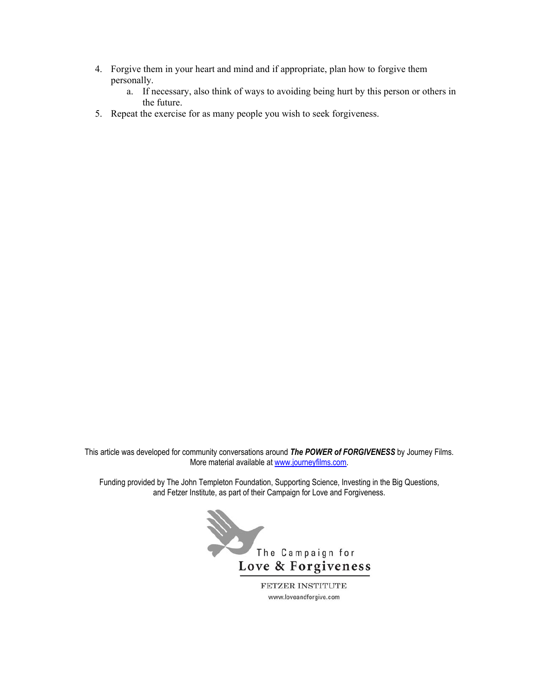- 4. Forgive them in your heart and mind and if appropriate, plan how to forgive them personally.
	- a. If necessary, also think of ways to avoiding being hurt by this person or others in the future.
- 5. Repeat the exercise for as many people you wish to seek forgiveness.

This article was developed for community conversations around *The POWER of FORGIVENESS* by Journey Films. More material available at [www.journeyfilms.com.](http://www.journeyfilms.com/)

Funding provided by The John Templeton Foundation, Supporting Science, Investing in the Big Questions, and Fetzer Institute, as part of their Campaign for Love and Forgiveness.



www.loveandforgive.com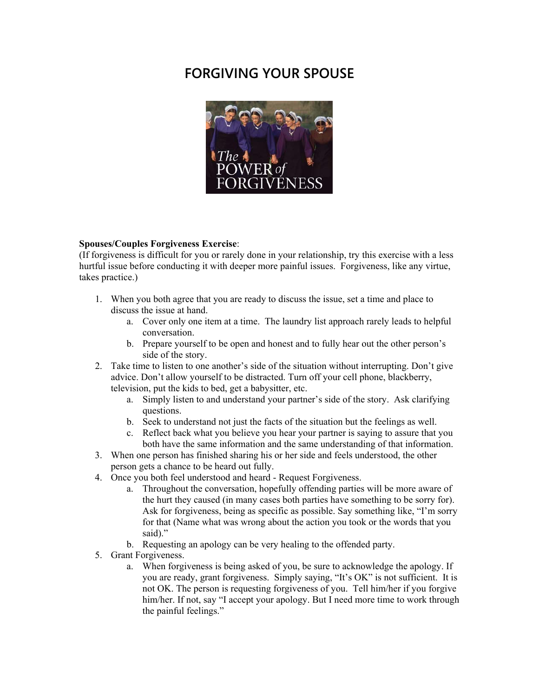## **FORGIVING YOUR SPOUSE**



#### **Spouses/Couples Forgiveness Exercise**:

(If forgiveness is difficult for you or rarely done in your relationship, try this exercise with a less hurtful issue before conducting it with deeper more painful issues. Forgiveness, like any virtue, takes practice.)

- 1. When you both agree that you are ready to discuss the issue, set a time and place to discuss the issue at hand.
	- a. Cover only one item at a time. The laundry list approach rarely leads to helpful conversation.
	- b. Prepare yourself to be open and honest and to fully hear out the other person's side of the story.
- 2. Take time to listen to one another's side of the situation without interrupting. Don't give advice. Don't allow yourself to be distracted. Turn off your cell phone, blackberry, television, put the kids to bed, get a babysitter, etc.
	- a. Simply listen to and understand your partner's side of the story. Ask clarifying questions.
	- b. Seek to understand not just the facts of the situation but the feelings as well.
	- c. Reflect back what you believe you hear your partner is saying to assure that you both have the same information and the same understanding of that information.
- 3. When one person has finished sharing his or her side and feels understood, the other person gets a chance to be heard out fully.
- 4. Once you both feel understood and heard Request Forgiveness.
	- a. Throughout the conversation, hopefully offending parties will be more aware of the hurt they caused (in many cases both parties have something to be sorry for). Ask for forgiveness, being as specific as possible. Say something like, "I'm sorry for that (Name what was wrong about the action you took or the words that you said)."
	- b. Requesting an apology can be very healing to the offended party.
- 5. Grant Forgiveness.
	- a. When forgiveness is being asked of you, be sure to acknowledge the apology. If you are ready, grant forgiveness. Simply saying, "It's OK" is not sufficient. It is not OK. The person is requesting forgiveness of you. Tell him/her if you forgive him/her. If not, say "I accept your apology. But I need more time to work through the painful feelings."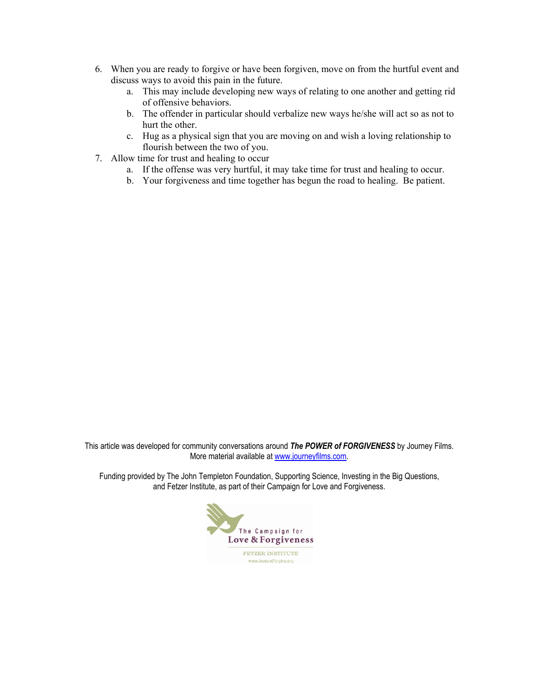- 6. When you are ready to forgive or have been forgiven, move on from the hurtful event and discuss ways to avoid this pain in the future.
	- a. This may include developing new ways of relating to one another and getting rid of offensive behaviors.
	- b. The offender in particular should verbalize new ways he/she will act so as not to hurt the other.
	- c. Hug as a physical sign that you are moving on and wish a loving relationship to flourish between the two of you.
- 7. Allow time for trust and healing to occur
	- a. If the offense was very hurtful, it may take time for trust and healing to occur.
	- b. Your forgiveness and time together has begun the road to healing. Be patient.

This article was developed for community conversations around *The POWER of FORGIVENESS* by Journey Films. More material available at [www.journeyfilms.com.](http://www.journeyfilms.com/)

Funding provided by The John Templeton Foundation, Supporting Science, Investing in the Big Questions, and Fetzer Institute, as part of their Campaign for Love and Forgiveness.

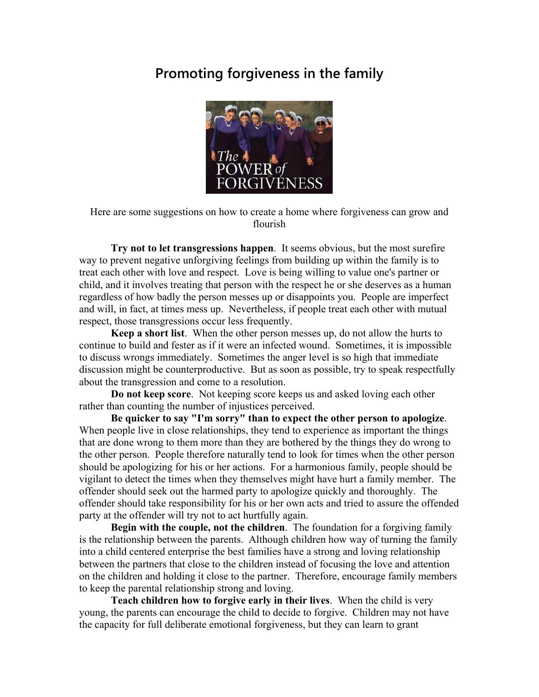### **Promoting forgiveness in the family**



Here are some suggestions on how to create a home where forgiveness can grow and flourish

 **Try not to let transgressions happen**. It seems obvious, but the most surefire way to prevent negative unforgiving feelings from building up within the family is to treat each other with love and respect. Love is being willing to value one's partner or child, and it involves treating that person with the respect he or she deserves as a human regardless of how badly the person messes up or disappoints you. People are imperfect and will, in fact, at times mess up. Nevertheless, if people treat each other with mutual respect, those transgressions occur less frequently.

 **Keep a short list**. When the other person messes up, do not allow the hurts to continue to build and fester as if it were an infected wound. Sometimes, it is impossible to discuss wrongs immediately. Sometimes the anger level is so high that immediate discussion might be counterproductive. But as soon as possible, try to speak respectfully about the transgression and come to a resolution.

 **Do not keep score**. Not keeping score keeps us and asked loving each other rather than counting the number of injustices perceived.

 **Be quicker to say "I'm sorry" than to expect the other person to apologize**. When people live in close relationships, they tend to experience as important the things that are done wrong to them more than they are bothered by the things they do wrong to the other person. People therefore naturally tend to look for times when the other person should be apologizing for his or her actions. For a harmonious family, people should be vigilant to detect the times when they themselves might have hurt a family member. The offender should seek out the harmed party to apologize quickly and thoroughly. The offender should take responsibility for his or her own acts and tried to assure the offended party at the offender will try not to act hurtfully again.

 **Begin with the couple, not the children**. The foundation for a forgiving family is the relationship between the parents. Although children how way of turning the family into a child centered enterprise the best families have a strong and loving relationship between the partners that close to the children instead of focusing the love and attention on the children and holding it close to the partner. Therefore, encourage family members to keep the parental relationship strong and loving.

 **Teach children how to forgive early in their lives**. When the child is very young, the parents can encourage the child to decide to forgive. Children may not have the capacity for full deliberate emotional forgiveness, but they can learn to grant